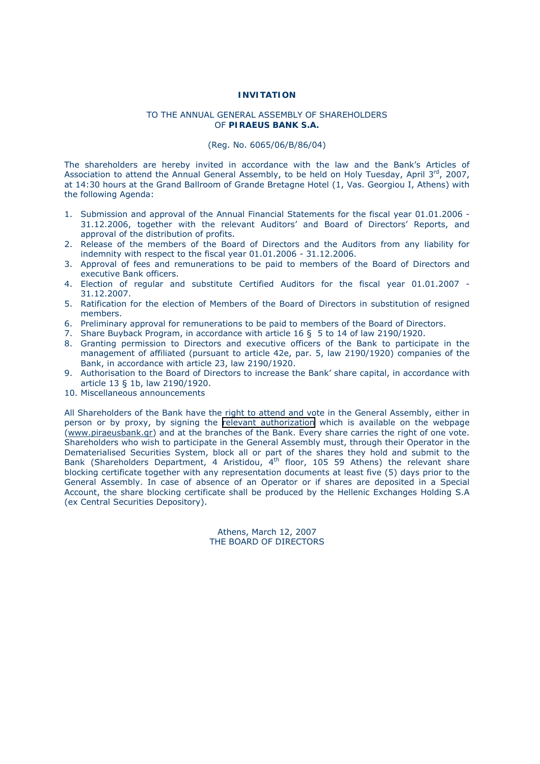# **INVITATION**

## TO THE ANNUAL GENERAL ASSEMBLY OF SHAREHOLDERS OF **PIRAEUS BANK S.A.**

# (Reg. No. 6065/06/Β/86/04)

The shareholders are hereby invited in accordance with the law and the Bank's Articles of Association to attend the Annual General Assembly, to be held on Holy Tuesday, April 3rd, 2007, at 14:30 hours at the Grand Ballroom of Grande Bretagne Hotel (1, Vas. Georgiou I, Athens) with the following Agenda:

- 1. Submission and approval of the Annual Financial Statements for the fiscal year 01.01.2006 31.12.2006, together with the relevant Auditors' and Board of Directors' Reports, and approval of the distribution of profits.
- 2. Release of the members of the Board of Directors and the Auditors from any liability for indemnity with respect to the fiscal year 01.01.2006 - 31.12.2006.
- 3. Approval of fees and remunerations to be paid to members of the Board of Directors and executive Bank officers.
- 4. Election of regular and substitute Certified Auditors for the fiscal year 01.01.2007 31.12.2007.
- 5. Ratification for the election of Members of the Board of Directors in substitution of resigned members.
- 6. Preliminary approval for remunerations to be paid to members of the Board of Directors.
- 7. Share Buyback Program, in accordance with article 16 § 5 to 14 of law 2190/1920.
- 8. Granting permission to Directors and executive officers of the Bank to participate in the management of affiliated (pursuant to article 42e, par. 5, law 2190/1920) companies of the Bank, in accordance with article 23, law 2190/1920.
- 9. Authorisation to the Board of Directors to increase the Bank' share capital, in accordance with article 13 § 1b, law 2190/1920.
- 10. Miscellaneous announcements

All Shareholders of the Bank have the right to attend and vote in the General Assembly, either in person or by proxy, by signing the [relevant authorization](#page-1-0) which is available on the webpage (www.piraeusbank.gr) and at the branches of the Bank. Every share carries the right of one vote. Shareholders who wish to participate in the General Assembly must, through their Operator in the Dematerialised Securities System, block all or part of the shares they hold and submit to the Bank (Shareholders Department, 4 Aristidou, 4<sup>th</sup> floor, 105 59 Athens) the relevant share blocking certificate together with any representation documents at least five (5) days prior to the General Assembly. In case of absence of an Operator or if shares are deposited in a Special Account, the share blocking certificate shall be produced by the Hellenic Exchanges Holding S.A (ex Central Securities Depository).

> Athens, March 12, 2007 THE BOARD OF DIRECTORS